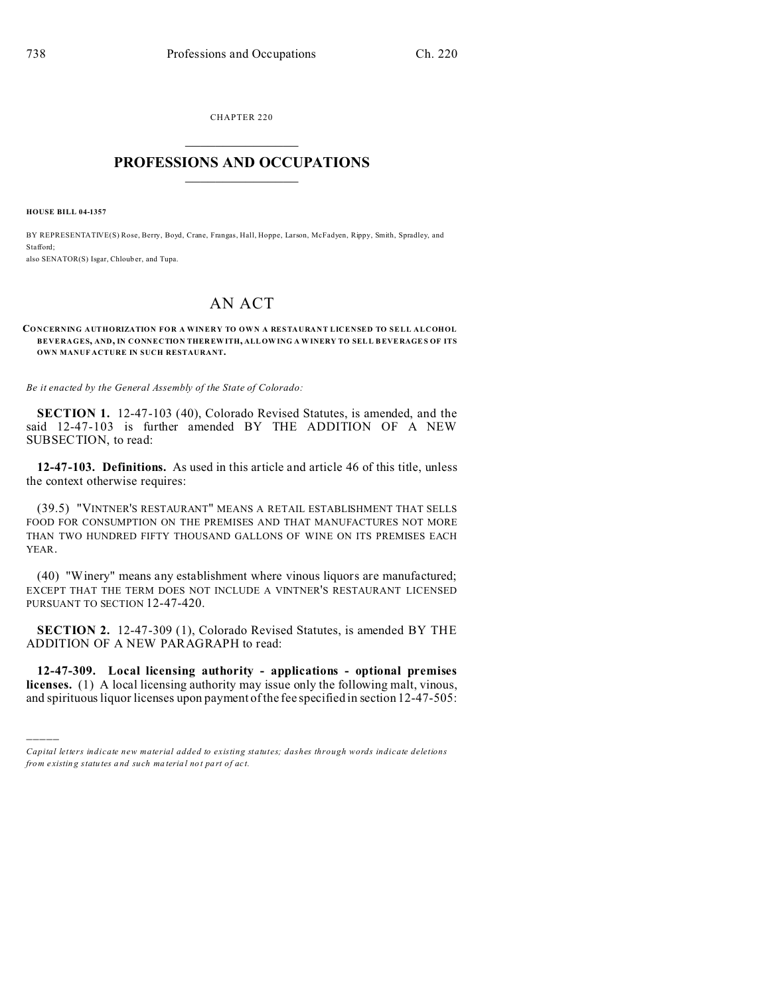CHAPTER 220  $\overline{\phantom{a}}$  , where  $\overline{\phantom{a}}$ 

## **PROFESSIONS AND OCCUPATIONS**  $\frac{1}{2}$  ,  $\frac{1}{2}$  ,  $\frac{1}{2}$  ,  $\frac{1}{2}$  ,  $\frac{1}{2}$  ,  $\frac{1}{2}$  ,  $\frac{1}{2}$

**HOUSE BILL 04-1357**

)))))

BY REPRESENTATIVE(S) Rose, Berry, Boyd, Crane, Frangas, Hall, Hoppe, Larson, McFadyen, Rippy, Smith, Spradley, and Stafford; also SENATOR(S) Isgar, Chloub er, and Tupa.

## AN ACT

## **CONCERNING AUTHORIZATION FOR A WINERY TO OWN A RESTAURANT LICENSED TO SELL ALCOHOL BEVERAGES, AND, IN CONNECTION THER EWITH, ALLOWING A WINERY TO SELL BEVERAGE S OF ITS OWN MANUF ACTURE IN SUCH RESTAURANT.**

*Be it enacted by the General Assembly of the State of Colorado:*

**SECTION 1.** 12-47-103 (40), Colorado Revised Statutes, is amended, and the said 12-47-103 is further amended BY THE ADDITION OF A NEW SUBSECTION, to read:

**12-47-103. Definitions.** As used in this article and article 46 of this title, unless the context otherwise requires:

(39.5) "VINTNER'S RESTAURANT" MEANS A RETAIL ESTABLISHMENT THAT SELLS FOOD FOR CONSUMPTION ON THE PREMISES AND THAT MANUFACTURES NOT MORE THAN TWO HUNDRED FIFTY THOUSAND GALLONS OF WINE ON ITS PREMISES EACH YEAR.

(40) "Winery" means any establishment where vinous liquors are manufactured; EXCEPT THAT THE TERM DOES NOT INCLUDE A VINTNER'S RESTAURANT LICENSED PURSUANT TO SECTION 12-47-420.

**SECTION 2.** 12-47-309 (1), Colorado Revised Statutes, is amended BY THE ADDITION OF A NEW PARAGRAPH to read:

**12-47-309. Local licensing authority - applications - optional premises licenses.** (1) A local licensing authority may issue only the following malt, vinous, and spirituous liquor licenses upon payment of the fee specified in section 12-47-505:

*Capital letters indicate new material added to existing statutes; dashes through words indicate deletions from e xistin g statu tes a nd such ma teria l no t pa rt of ac t.*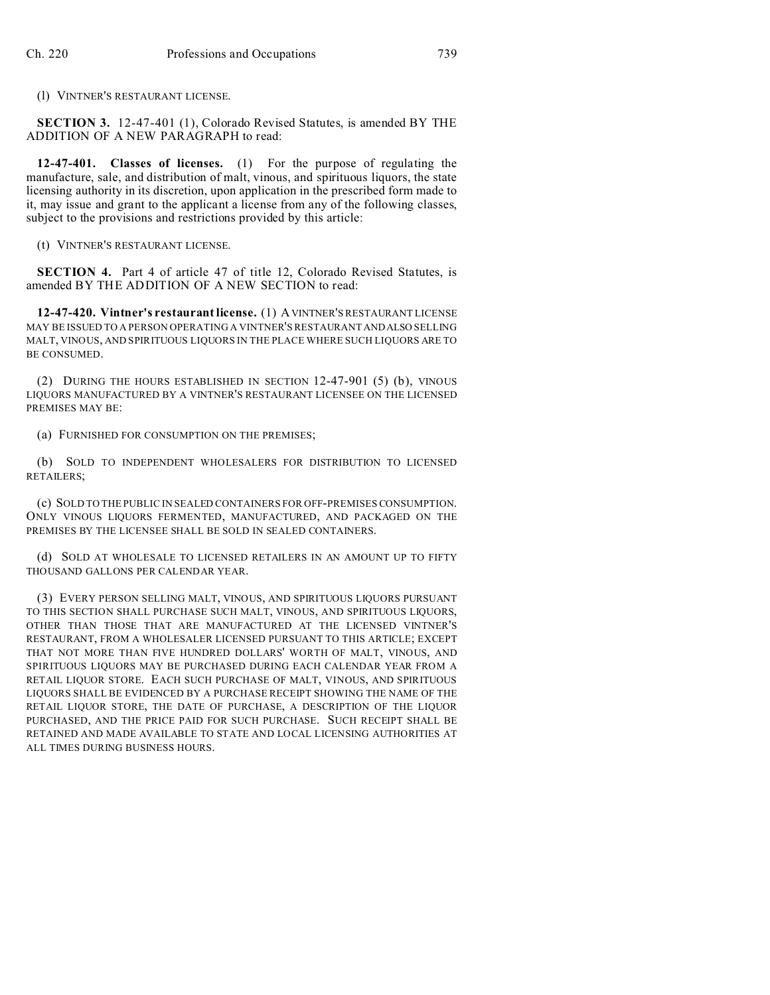(l) VINTNER'S RESTAURANT LICENSE.

**SECTION 3.** 12-47-401 (1), Colorado Revised Statutes, is amended BY THE ADDITION OF A NEW PARAGRAPH to read:

**12-47-401. Classes of licenses.** (1) For the purpose of regulating the manufacture, sale, and distribution of malt, vinous, and spirituous liquors, the state licensing authority in its discretion, upon application in the prescribed form made to it, may issue and grant to the applicant a license from any of the following classes, subject to the provisions and restrictions provided by this article:

(t) VINTNER'S RESTAURANT LICENSE.

**SECTION 4.** Part 4 of article 47 of title 12, Colorado Revised Statutes, is amended BY THE ADDITION OF A NEW SECTION to read:

**12-47-420. Vintner's restaurant license.** (1) AVINTNER'S RESTAURANT LICENSE MAY BE ISSUED TO A PERSON OPERATING A VINTNER'S RESTAURANT ANDALSO SELLING MALT, VINOUS, AND SPIRITUOUS LIQUORS IN THE PLACE WHERE SUCH LIQUORS ARE TO BE CONSUMED.

(2) DURING THE HOURS ESTABLISHED IN SECTION 12-47-901 (5) (b), VINOUS LIQUORS MANUFACTURED BY A VINTNER'S RESTAURANT LICENSEE ON THE LICENSED PREMISES MAY BE:

(a) FURNISHED FOR CONSUMPTION ON THE PREMISES;

(b) SOLD TO INDEPENDENT WHOLESALERS FOR DISTRIBUTION TO LICENSED RETAILERS;

(c) SOLD TO THE PUBLIC IN SEALED CONTAINERS FOR OFF-PREMISES CONSUMPTION. ONLY VINOUS LIQUORS FERMENTED, MANUFACTURED, AND PACKAGED ON THE PREMISES BY THE LICENSEE SHALL BE SOLD IN SEALED CONTAINERS.

(d) SOLD AT WHOLESALE TO LICENSED RETAILERS IN AN AMOUNT UP TO FIFTY THOUSAND GALLONS PER CALENDAR YEAR.

(3) EVERY PERSON SELLING MALT, VINOUS, AND SPIRITUOUS LIQUORS PURSUANT TO THIS SECTION SHALL PURCHASE SUCH MALT, VINOUS, AND SPIRITUOUS LIQUORS, OTHER THAN THOSE THAT ARE MANUFACTURED AT THE LICENSED VINTNER'S RESTAURANT, FROM A WHOLESALER LICENSED PURSUANT TO THIS ARTICLE; EXCEPT THAT NOT MORE THAN FIVE HUNDRED DOLLARS' WORTH OF MALT, VINOUS, AND SPIRITUOUS LIQUORS MAY BE PURCHASED DURING EACH CALENDAR YEAR FROM A RETAIL LIQUOR STORE. EACH SUCH PURCHASE OF MALT, VINOUS, AND SPIRITUOUS LIQUORS SHALL BE EVIDENCED BY A PURCHASE RECEIPT SHOWING THE NAME OF THE RETAIL LIQUOR STORE, THE DATE OF PURCHASE, A DESCRIPTION OF THE LIQUOR PURCHASED, AND THE PRICE PAID FOR SUCH PURCHASE. SUCH RECEIPT SHALL BE RETAINED AND MADE AVAILABLE TO STATE AND LOCAL LICENSING AUTHORITIES AT ALL TIMES DURING BUSINESS HOURS.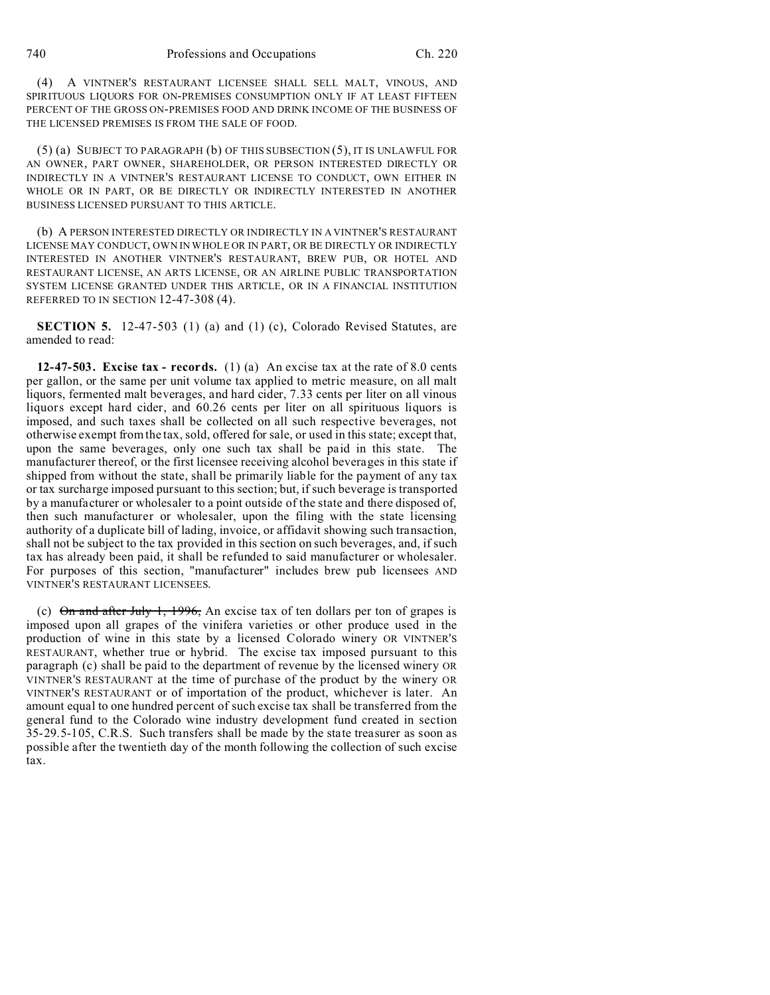(4) A VINTNER'S RESTAURANT LICENSEE SHALL SELL MALT, VINOUS, AND SPIRITUOUS LIQUORS FOR ON-PREMISES CONSUMPTION ONLY IF AT LEAST FIFTEEN PERCENT OF THE GROSS ON-PREMISES FOOD AND DRINK INCOME OF THE BUSINESS OF THE LICENSED PREMISES IS FROM THE SALE OF FOOD.

(5) (a) SUBJECT TO PARAGRAPH (b) OF THIS SUBSECTION (5), IT IS UNLAWFUL FOR AN OWNER, PART OWNER, SHAREHOLDER, OR PERSON INTERESTED DIRECTLY OR INDIRECTLY IN A VINTNER'S RESTAURANT LICENSE TO CONDUCT, OWN EITHER IN WHOLE OR IN PART, OR BE DIRECTLY OR INDIRECTLY INTERESTED IN ANOTHER BUSINESS LICENSED PURSUANT TO THIS ARTICLE.

(b) A PERSON INTERESTED DIRECTLY OR INDIRECTLY IN A VINTNER'S RESTAURANT LICENSE MAY CONDUCT, OWN IN WHOLE OR IN PART, OR BE DIRECTLY OR INDIRECTLY INTERESTED IN ANOTHER VINTNER'S RESTAURANT, BREW PUB, OR HOTEL AND RESTAURANT LICENSE, AN ARTS LICENSE, OR AN AIRLINE PUBLIC TRANSPORTATION SYSTEM LICENSE GRANTED UNDER THIS ARTICLE, OR IN A FINANCIAL INSTITUTION REFERRED TO IN SECTION 12-47-308 (4).

**SECTION 5.** 12-47-503 (1) (a) and (1) (c), Colorado Revised Statutes, are amended to read:

**12-47-503. Excise tax - records.** (1) (a) An excise tax at the rate of 8.0 cents per gallon, or the same per unit volume tax applied to metric measure, on all malt liquors, fermented malt beverages, and hard cider, 7.33 cents per liter on all vinous liquors except hard cider, and 60.26 cents per liter on all spirituous liquors is imposed, and such taxes shall be collected on all such respective beverages, not otherwise exempt from the tax, sold, offered for sale, or used in this state; except that, upon the same beverages, only one such tax shall be paid in this state. The manufacturer thereof, or the first licensee receiving alcohol beverages in this state if shipped from without the state, shall be primarily liable for the payment of any tax or tax surcharge imposed pursuant to this section; but, if such beverage is transported by a manufacturer or wholesaler to a point outside of the state and there disposed of, then such manufacturer or wholesaler, upon the filing with the state licensing authority of a duplicate bill of lading, invoice, or affidavit showing such transaction, shall not be subject to the tax provided in this section on such beverages, and, if such tax has already been paid, it shall be refunded to said manufacturer or wholesaler. For purposes of this section, "manufacturer" includes brew pub licensees AND VINTNER'S RESTAURANT LICENSEES.

(c)  $\Theta$ n and after July 1, 1996, An excise tax of ten dollars per ton of grapes is imposed upon all grapes of the vinifera varieties or other produce used in the production of wine in this state by a licensed Colorado winery OR VINTNER'S RESTAURANT, whether true or hybrid. The excise tax imposed pursuant to this paragraph (c) shall be paid to the department of revenue by the licensed winery OR VINTNER'S RESTAURANT at the time of purchase of the product by the winery OR VINTNER'S RESTAURANT or of importation of the product, whichever is later. An amount equal to one hundred percent of such excise tax shall be transferred from the general fund to the Colorado wine industry development fund created in section 35-29.5-105, C.R.S. Such transfers shall be made by the state treasurer as soon as possible after the twentieth day of the month following the collection of such excise tax.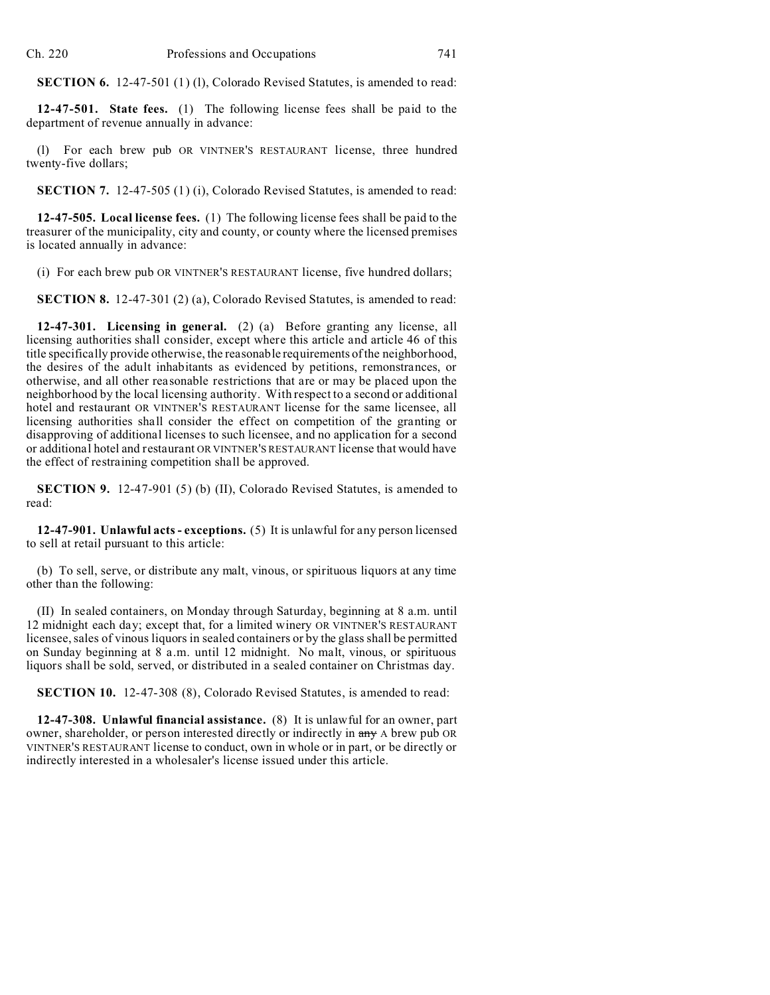**SECTION 6.** 12-47-501 (1) (1), Colorado Revised Statutes, is amended to read:

**12-47-501. State fees.** (1) The following license fees shall be paid to the department of revenue annually in advance:

(l) For each brew pub OR VINTNER'S RESTAURANT license, three hundred twenty-five dollars;

**SECTION 7.** 12-47-505 (1) (i), Colorado Revised Statutes, is amended to read:

**12-47-505. Local license fees.** (1) The following license fees shall be paid to the treasurer of the municipality, city and county, or county where the licensed premises is located annually in advance:

(i) For each brew pub OR VINTNER'S RESTAURANT license, five hundred dollars;

**SECTION 8.** 12-47-301 (2) (a), Colorado Revised Statutes, is amended to read:

**12-47-301. Licensing in general.** (2) (a) Before granting any license, all licensing authorities shall consider, except where this article and article 46 of this title specifically provide otherwise, the reasonable requirements of the neighborhood, the desires of the adult inhabitants as evidenced by petitions, remonstrances, or otherwise, and all other reasonable restrictions that are or may be placed upon the neighborhood by the local licensing authority. With respect to a second or additional hotel and restaurant OR VINTNER'S RESTAURANT license for the same licensee, all licensing authorities shall consider the effect on competition of the granting or disapproving of additional licenses to such licensee, and no application for a second or additional hotel and restaurant OR VINTNER'S RESTAURANT license that would have the effect of restraining competition shall be approved.

**SECTION 9.** 12-47-901 (5) (b) (II), Colorado Revised Statutes, is amended to read:

**12-47-901. Unlawful acts - exceptions.** (5) It is unlawful for any person licensed to sell at retail pursuant to this article:

(b) To sell, serve, or distribute any malt, vinous, or spirituous liquors at any time other than the following:

(II) In sealed containers, on Monday through Saturday, beginning at 8 a.m. until 12 midnight each day; except that, for a limited winery OR VINTNER'S RESTAURANT licensee, sales of vinous liquors in sealed containers or by the glass shall be permitted on Sunday beginning at 8 a.m. until 12 midnight. No malt, vinous, or spirituous liquors shall be sold, served, or distributed in a sealed container on Christmas day.

**SECTION 10.** 12-47-308 (8), Colorado Revised Statutes, is amended to read:

**12-47-308. Unlawful financial assistance.** (8) It is unlawful for an owner, part owner, shareholder, or person interested directly or indirectly in  $\frac{any}{any}$  A brew pub OR VINTNER'S RESTAURANT license to conduct, own in whole or in part, or be directly or indirectly interested in a wholesaler's license issued under this article.